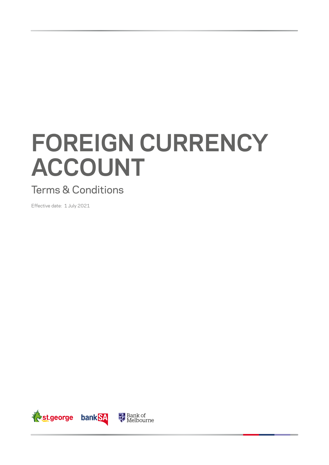# **FOREIGN CURRENCY ACCOUNT**

# Terms & Conditions

Effective date: 1 July 2021



 $\begin{tabular}{c}\nA \nBank of \\
Mellown \end{tabular}$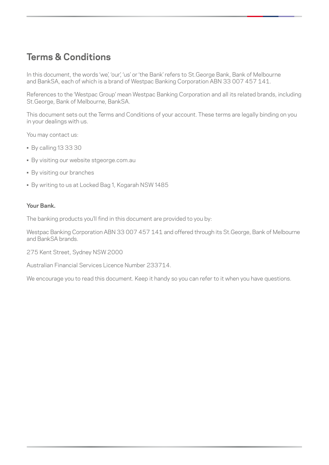# **Terms & Conditions**

In this document, the words 'we', 'our', 'us' or 'the Bank' refers to St.George Bank, Bank of Melbourne and BankSA, each of which is a brand of Westpac Banking Corporation ABN 33 007 457 141.

References to the 'Westpac Group' mean Westpac Banking Corporation and all its related brands, including St.George, Bank of Melbourne, BankSA.

This document sets out the Terms and Conditions of your account. These terms are legally binding on you in your dealings with us.

You may contact us:

- By calling 13 33 30
- By visiting our website [stgeorge.com.au](http://stgeorge.com.au)
- By visiting our branches
- By writing to us at Locked Bag 1, Kogarah NSW 1485

#### **Your Bank.**

The banking products you'll find in this document are provided to you by:

Westpac Banking Corporation ABN 33 007 457 141 and offered through its St.George, Bank of Melbourne and BankSA brands.

275 Kent Street, Sydney NSW 2000

Australian Financial Services Licence Number 233714.

We encourage you to read this document. Keep it handy so you can refer to it when you have questions.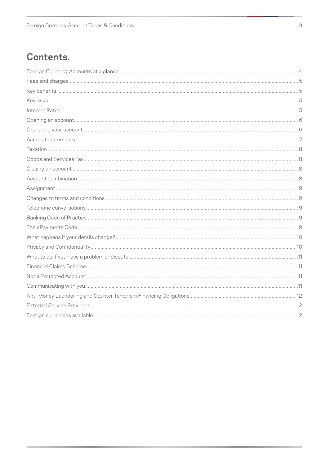# **Contents.**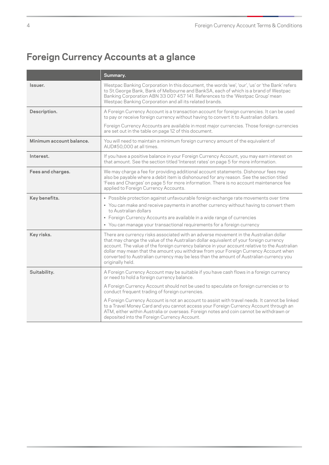# <span id="page-3-0"></span>**Foreign Currency Accounts at a glance**

|                          | Summary.                                                                                                                                                                                                                                                                                                                                                                                                                                                                                |
|--------------------------|-----------------------------------------------------------------------------------------------------------------------------------------------------------------------------------------------------------------------------------------------------------------------------------------------------------------------------------------------------------------------------------------------------------------------------------------------------------------------------------------|
| Issuer.                  | Westpac Banking Corporation In this document, the words 'we', 'our', 'us' or 'the Bank' refers<br>to St.George Bank, Bank of Melbourne and BankSA, each of which is a brand of Westpac<br>Banking Corporation ABN 33 007 457 141. References to the 'Westpac Group' mean<br>Westpac Banking Corporation and all its related brands.                                                                                                                                                     |
| Description.             | A Foreign Currency Account is a transaction account for foreign currencies. It can be used<br>to pay or receive foreign currency without having to convert it to Australian dollars.                                                                                                                                                                                                                                                                                                    |
|                          | Foreign Currency Accounts are available in most major currencies. Those foreign currencies<br>are set out in the table on page 12 of this document.                                                                                                                                                                                                                                                                                                                                     |
| Minimum account balance. | You will need to maintain a minimum foreign currency amount of the equivalent of<br>AUD\$50,000 at all times.                                                                                                                                                                                                                                                                                                                                                                           |
| Interest.                | If you have a positive balance in your Foreign Currency Account, you may earn interest on<br>that amount. See the section titled 'Interest rates' on page 5 for more information.                                                                                                                                                                                                                                                                                                       |
| Fees and charges.        | We may charge a fee for providing additional account statements. Dishonour fees may<br>also be payable where a debit item is dishonoured for any reason. See the section titled<br>'Fees and Charges' on page 5 for more information. There is no account maintenance fee<br>applied to Foreign Currency Accounts.                                                                                                                                                                      |
| Key benefits.            | - Possible protection against unfavourable foreign exchange rate movements over time<br>- You can make and receive payments in another currency without having to convert them<br>to Australian dollars<br>• Foreign Currency Accounts are available in a wide range of currencies<br>• You can manage your transactional requirements for a foreign currency                                                                                                                           |
| Key risks.               | There are currency risks associated with an adverse movement in the Australian dollar<br>that may change the value of the Australian dollar equivalent of your foreign currency<br>account. The value of the foreign currency balance in your account relative to the Australian<br>dollar may mean that the amount you withdraw from your Foreign Currency Account when<br>converted to Australian currency may be less than the amount of Australian currency you<br>originally held. |
| Suitability.             | A Foreign Currency Account may be suitable if you have cash flows in a foreign currency<br>or need to hold a foreign currency balance.<br>A Foreign Currency Account should not be used to speculate on foreign currencies or to<br>conduct frequent trading of foreign currencies.<br>A Foreign Currency Account is not an account to assist with travel needs. It cannot be linked<br>to a Travel Money Card and you cannot access your Foreign Currency Account through an           |
|                          | ATM, either within Australia or overseas. Foreign notes and coin cannot be withdrawn or<br>deposited into the Foreign Currency Account.                                                                                                                                                                                                                                                                                                                                                 |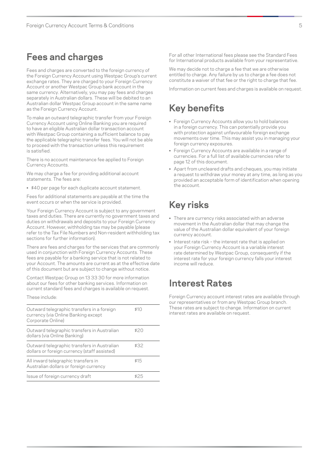#### <span id="page-4-0"></span>**Fees and charges**

Fees and charges are converted to the foreign currency of the Foreign Currency Account using Westpac Group's current exchange rates. They are charged to your Foreign Currency Account or another Westpac Group bank account in the same currency. Alternatively, you may pay fees and charges separately in Australian dollars. These will be debited to an Australian dollar Westpac Group account in the same name as the Foreign Currency Account.

To make an outward telegraphic transfer from your Foreign Currency Account using Online Banking you are required to have an eligible Australian dollar transaction account with Westpac Group containing a sufficient balance to pay the applicable telegraphic transfer fees. You will not be able to proceed with the transaction unless this requirement is satisfied.

There is no account maintenance fee applied to Foreign Currency Accounts.

We may charge a fee for providing additional account statements. The fees are:

• \$40 per page for each duplicate account statement.

Fees for additional statements are payable at the time the event occurs or when the service is provided.

Your Foreign Currency Account is subject to any government taxes and duties. There are currently no government taxes and duties on withdrawals and deposits to your Foreign Currency Account. However, withholding tax may be payable (please refer to the Tax File Numbers and Non-resident withholding tax sections for further information).

There are fees and charges for the services that are commonly used in conjunction with Foreign Currency Accounts. These fees are payable for a banking service that is not related to your Account. The amounts are current as at the effective date of this document but are subject to change without notice.

Contact Westpac Group on 13 33 30 for more information about our fees for other banking services. Information on current standard fees and charges is available on request.

#### These include:

| Outward telegraphic transfers in a foreign<br>currency (via Online Banking except<br>Corporate Online) | \$10 |
|--------------------------------------------------------------------------------------------------------|------|
| Outward telegraphic transfers in Australian<br>dollars (via Online Banking)                            | \$20 |
| Outward telegraphic transfers in Australian<br>dollars or foreign currency (staff assisted)            | \$32 |
| All inward telegraphic transfers in<br>Australian dollars or foreign currency                          | \$15 |
| Issue of foreign currency draft                                                                        |      |

For all other International fees please see the Standard Fees for International products available from your representative.

We may decide not to charge a fee that we are otherwise entitled to charge. Any failure by us to charge a fee does not constitute a waiver of that fee or the right to charge that fee.

Information on current fees and charges is available on request.

## **Key benefits**

- Foreign Currency Accounts allow you to hold balances in a foreign currency. This can potentially provide you with protection against unfavourable foreign exchange movements over time. This may assist you in managing your foreign currency exposures.
- Foreign Currency Accounts are available in a range of currencies. For a full list of available currencies refer to page 12 of this document.
- Apart from uncleared drafts and cheques, you may initiate a request to withdraw your money at any time, as long as you provided an acceptable form of identification when opening the account.

## **Key risks**

- There are currency risks associated with an adverse movement in the Australian dollar that may change the value of the Australian dollar equivalent of your foreign currency account.
- Interest rate risk the interest rate that is applied on your Foreign Currency Account is a variable interest rate determined by Westpac Group, consequently if the interest rate for your foreign currency falls your interest income will reduce.

#### **Interest Rates**

Foreign Currency account interest rates are available through our representatives or from any Westpac Group branch. These rates are subject to change. Information on current interest rates are available on request.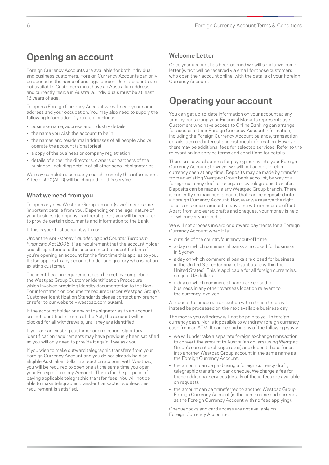## <span id="page-5-0"></span>**Opening an account**

Foreign Currency Accounts are available for both individual and business customers. Foreign Currency Accounts can only be opened in the name of one legal person. Joint accounts are not available. Customers must have an Australian address and currently reside in Australia. Individuals must be at least 18 years of age.

To open a Foreign Currency Account we will need your name, address and your occupation. You may also need to supply the following information if you are a business:

- business name, address and industry details
- the name you wish the account to be in
- the names and residential addresses of all people who will operate the account (signatories)
- a copy of the business or company registration
- details of either the directors, owners or partners of the business, including details of all other account signatories.

We may complete a company search to verify this information. A fee of \$50(AUD) will be charged for this service.

#### **What we need from you**

To open any new Westpac Group account(s) we'll need some important details from you. Depending on the legal nature of your business (company, partnership etc.) you will be required to provide certain documents and information to the Bank.

If this is your first account with us:

Under the *Anti-Money Laundering and Counter Terrorism Financing Act 2006* it is a requirement that the account holder and all signatories to the account must be identified. So if you're opening an account for the first time this applies to you. It also applies to any account holder or signatory who is not an existing customer.

The identification requirements can be met by completing the Westpac Group Customer Identification Procedure which involves providing identity documentation to the Bank. For information on documents required under Westpac Group's Customer Identification Standards please contact any branch or refer to our website – [westpac.com.au/aml.](http://westpac.com.au/aml)

If the account holder or any of the signatories to an account are not identified in terms of the Act, the account will be blocked for all withdrawals, until they are identified.

If you are an existing customer or an account signatory identification requirements may have previously been satisfied so you will only need to provide it again if we ask you.

If you wish to make outward telegraphic transfers from your Foreign Currency Account and you do not already hold an eligible Australian dollar transaction account with Westpac, you will be required to open one at the same time you open your Foreign Currency Account. This is for the purpose of paying applicable telegraphic transfer fees. You will not be able to make telegraphic transfer transactions unless this requirement is satisfied.

#### **Welcome Letter**

Once your account has been opened we will send a welcome letter (which will be received via email for those customers who open their account online) with the details of your Foreign Currency Account.

## **Operating your account**

You can get up-to-date information on your account at any time by contacting your Financial Markets representative. Customers who have access to Online Banking can arrange for access to their Foreign Currency Account information, including the Foreign Currency Account balance, transaction details, accrued interest and historical information. However there may be additional fees for selected services. Refer to the relevant online service terms and conditions for details.

There are several options for paying money into your Foreign Currency Account; however we will not accept foreign currency cash at any time. Deposits may be made by transfer from an existing Westpac Group bank account, by way of a foreign currency draft or cheque or by telegraphic transfer. Deposits can be made via any Westpac Group branch. There is currently no maximum amount that can be deposited into a Foreign Currency Account. However we reserve the right to set a maximum amount at any time with immediate effect. Apart from uncleared drafts and cheques, your money is held for whenever you need it.

We will not process inward or outward payments for a Foreign Currency Account when it is:

- outside of the country/currency cut-off time
- a day on which commercial banks are closed for business in Sydney
- a day on which commercial banks are closed for business in the United States (or any relevant state within the United States). This is applicable for all foreign currencies, not just US dollars
- a day on which commercial banks are closed for business in any other overseas location relevant to the currency involved.

A request to initiate a transaction within these times will instead be processed on the next available business day.

The money you withdraw will not be paid to you in foreign currency cash. Nor is it possible to withdraw foreign currency cash from an ATM. It can be paid in any of the following ways:

- we will undertake a separate foreign exchange transaction to convert the amount to Australian dollars (using Westpac Group's current exchange rates) and deposit those funds into another Westpac Group account in the same name as the Foreign Currency Account;
- the amount can be paid using a foreign currency draft, telegraphic transfer or bank cheque. We charge a fee for these additional services (details of these fees are available on request);
- the amount can be transferred to another Westpac Group Foreign Currency Account (in the same name and currency as the Foreign Currency Account with no fees applying).

Chequebooks and card access are not available on Foreign Currency Accounts.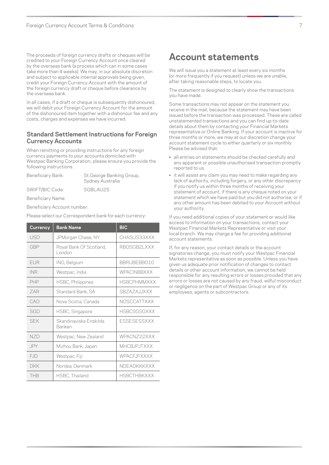<span id="page-6-0"></span>The proceeds of foreign currency drafts or cheques will be credited to your Foreign Currency Account once cleared by the overseas bank (a process which can in some cases take more than 4 weeks). We may, in our absolute discretion and subject to applicable internal approvals being given. credit your Foreign Currency Account with the amount of the foreign currency draft or cheque before clearance by the overseas bank.

In all cases, if a draft or cheque is subsequently dishonoured, we will debit your Foreign Currency Account for the amount of the dishonoured item together with a dishonour fee and any costs, charges and expenses we have incurred.

#### **Standard Settlement Instructions for Foreign Currency Accounts**

When remitting or providing instructions for any foreign currency payments to your accounts domiciled with Westpac Banking Corporation, please ensure you provide the following instructions.

Beneficiary Bank: St.George Banking Group, Sydney Australia

SWIFT/BIC Code: SGBLAU2S

Beneficiary Name:

Beneficiary Account number:

Please select our Correspondent bank for each currency:

| Currency   | <b>Bank Name</b>                  | <b>BIC</b>         |
|------------|-----------------------------------|--------------------|
| USD        | JPMorgan Chase, NY                | CHASUS33XXX        |
| GBP        | Royal Bank Of Scotland,<br>London | RBOSGB2LXXX        |
| <b>FUR</b> | ING, Belgium                      | BBRUBEBB010        |
| INR        | Westpac, India                    | WPACINBBXXX        |
| PHP        | <b>HSBC, Philippines</b>          | <b>HSBCPHMMXXX</b> |
| 7AR        | Standard Bank, SA                 | SBZAZAJJXXX        |
| CAD        | Nova Scotia, Canada               | NOSCCATTXXX        |
| SGD        | HSBC, Singapore                   | HSBCSGSGXXX        |
| <b>SFK</b> | Skandinaviska Enskilda<br>Banken  | <b>FSSESESSXXX</b> |
| N7D        | Westpac, New Zealand              | WPACN722XXX        |
| <b>JPY</b> | Mizhou Bank, Japan                | <b>MHCBJPJTXXX</b> |
| <b>FJD</b> | Westpac, Fiji                     | <b>WPACEJEXXXX</b> |
| <b>DKK</b> | Nordea, Denmark                   | <b>NDFADKKKXXX</b> |
| THB        | <b>HSBC, Thailand</b>             | <b>HSBCTHBKXXX</b> |

#### **Account statements**

We will issue you a statement at least every six months (or more frequently if you request) unless we are unable, after taking reasonable steps, to locate you.

The statement is designed to clearly show the transactions you have made.

Some transactions may not appear on the statement you receive in the mail, because the statement may have been issued before the transaction was processed. These are called unstatemented transactions and you can find up-to-date details about them by contacting your Financial Markets representative or Online Banking. If your account is inactive for three months or more, we may at our discretion change your account statement cycle to either quarterly or six monthly. Please be advised that:

- all entries on statements should be checked carefully and any apparent or possible unauthorised transaction promptly reported to us.
- it will assist any claim you may need to make regarding any lack of authority, including forgery, or any other discrepancy if you notify us within three months of receiving your statement of account, if there is any cheque noted on your statement which we have paid but you did not authorise, or if any other amount has been debited to your Account without your authority.

If you need additional copies of your statement or would like access to information on your transactions, contact your Westpac Financial Markets Representative or visit your local branch. We may charge a fee for providing additional account statements.

If, for any reason, your contact details or the account signatories change, you must notify your Westpac Financial Markets representative as soon as possible. Unless you have given us adequate prior notification of changes to contact details or other account information, we cannot be held responsible for any resulting errors or losses provided that any errors or losses are not caused by any fraud, wilful misconduct or negligence on the part of Westpac Group or any of its employees, agents or subcontractors.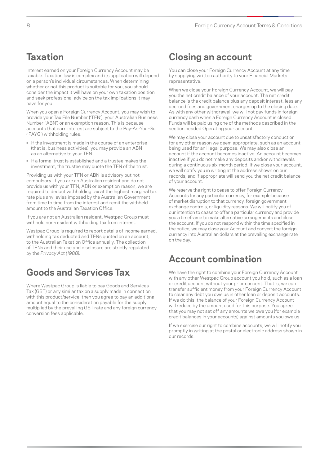## <span id="page-7-0"></span>**Taxation**

Interest earned on your Foreign Currency Account may be taxable. Taxation law is complex and its application will depend on a person's individual circumstances. When determining whether or not this product is suitable for you, you should consider the impact it will have on your own taxation position and seek professional advice on the tax implications it may have for you.

When you open a Foreign Currency Account, you may wish to provide your Tax File Number ('TFN'), your Australian Business Number ('ABN') or an exemption reason. This is because accounts that earn interest are subject to the Pay-As-You-Go ('PAYG') withholding rules.

- If the investment is made in the course of an enterprise (that is, business activities), you may provide an ABN as an alternative to your TFN.
- If a formal trust is established and a trustee makes the investment, the trustee may quote the TFN of the trust.

Providing us with your TFN or ABN is advisory but not compulsory. If you are an Australian resident and do not provide us with your TFN, ABN or exemption reason, we are required to deduct withholding tax at the highest marginal tax rate plus any levies imposed by the Australian Government from time to time from the interest and remit the withheld amount to the Australian Taxation Office.

If you are not an Australian resident, Westpac Group must withhold non-resident withholding tax from interest.

Westpac Group is required to report details of income earned, withholding tax deducted and TFNs quoted on an account, to the Australian Taxation Office annually. The collection of TFNs and their use and disclosure are strictly regulated by the *Privacy Act (1988).*

## **Goods and Services Tax**

Where Westpac Group is liable to pay Goods and Services Tax (GST) or any similar tax on a supply made in connection with this product/service, then you agree to pay an additional amount equal to the consideration payable for the supply multiplied by the prevailing GST rate and any foreign currency conversion fees applicable.

#### **Closing an account**

You can close your Foreign Currency Account at any time by supplying written authority to your Financial Markets representative.

When we close your Foreign Currency Account, we will pay you the net credit balance of your account. The net credit balance is the credit balance plus any deposit interest, less any accrued fees and government charges up to the closing date. As with any other withdrawal, we will not pay funds in foreign currency cash when a Foreign Currency Account is closed. Funds will be paid using one of the methods described in the section headed Operating your account.

We may close your account due to unsatisfactory conduct or for any other reason we deem appropriate, such as an account being used for an illegal purpose. We may also close an account if the account becomes inactive. An account becomes inactive if you do not make any deposits and/or withdrawals during a continuous six-month period. If we close your account, we will notify you in writing at the address shown on our records, and if appropriate will send you the net credit balance of your account.

We reserve the right to cease to offer Foreign Currency Accounts for any particular currency, for example because of market disruption to that currency, foreign government exchange controls, or liquidity reasons. We will notify you of our intention to cease to offer a particular currency and provide you a timeframe to make alternative arrangements and close the account. If you do not respond within the time specified in the notice, we may close your Account and convert the foreign currency into Australian dollars at the prevailing exchange rate on the day.

## **Account combination**

We have the right to combine your Foreign Currency Account with any other Westpac Group account you hold, such as a loan or credit account without your prior consent. That is, we can transfer sufficient money from your Foreign Currency Account to clear any debt you owe us in other loan or deposit accounts. If we do this, the balance of your Foreign Currency Account will reduce by the amount used for this purpose. You agree that you may not set off any amounts we owe you (for example credit balances in your accounts) against amounts you owe us.

If we exercise our right to combine accounts, we will notify you promptly in writing at the postal or electronic address shown in our records.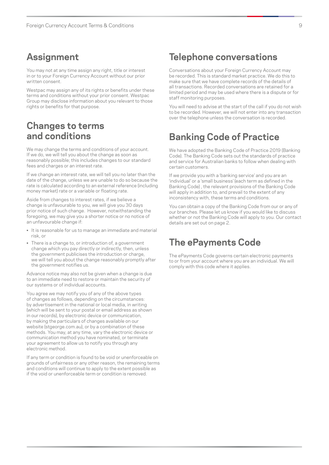## <span id="page-8-0"></span>**Assignment**

You may not at any time assign any right, title or interest in or to your Foreign Currency Account without our prior written consent.

Westpac may assign any of its rights or benefits under these terms and conditions without your prior consent. Westpac Group may disclose information about you relevant to those rights or benefits for that purpose.

#### **Changes to terms and conditions**

We may change the terms and conditions of your account. If we do, we will tell you about the change as soon as reasonably possible; this includes changes to our standard fees and charges or an interest rate.

If we change an interest rate, we will tell you no later than the date of the change, unless we are unable to do so because the rate is calculated according to an external reference (including money market) rate or a variable or floating rate.

Aside from changes to interest rates, if we believe a change is unfavourable to you, we will give you 30 days prior notice of such change. However, notwithstanding the foregoing, we may give you a shorter notice or no notice of an unfavourable change if:

- It is reasonable for us to manage an immediate and material risk, or
- There is a change to, or introduction of, a government change which you pay directly or indirectly, then, unless the government publicises the introduction or charge, we will tell you about the change reasonably promptly after the government notifies us.

Advance notice may also not be given when a change is due to an immediate need to restore or maintain the security of our systems or of individual accounts.

You agree we may notify you of any of the above types of changes as follows, depending on the circumstances: by advertisement in the national or local media, in writing (which will be sent to your postal or email address as shown in our records), by electronic device or communication, by making the particulars of changes available on our website (stgeorge.com.au), or by a combination of these methods. You may, at any time, vary the electronic device or communication method you have nominated, or terminate your agreement to allow us to notify you through any electronic method.

If any term or condition is found to be void or unenforceable on grounds of unfairness or any other reason, the remaining terms and conditions will continue to apply to the extent possible as if the void or unenforceable term or condition is removed.

## **Telephone conversations**

Conversations about your Foreign Currency Account may be recorded. This is standard market practice. We do this to make sure that we have complete records of the details of all transactions. Recorded conversations are retained for a limited period and may be used where there is a dispute or for staff monitoring purposes.

You will need to advise at the start of the call if you do not wish to be recorded. However, we will not enter into any transaction over the telephone unless the conversation is recorded.

# **Banking Code of Practice**

We have adopted the Banking Code of Practice 2019 (Banking Code). The Banking Code sets out the standards of practice and service for Australian banks to follow when dealing with certain customers.

If we provide you with a 'banking service' and you are an 'individual' or a 'small business' (each term as defined in the Banking Code) , the relevant provisions of the Banking Code will apply in addition to, and prevail to the extent of any inconsistency with, these terms and conditions.

You can obtain a copy of the Banking Code from our or any of our branches. Please let us know if you would like to discuss whether or not the Banking Code will apply to you. Our contact details are set out on page 2.

### **The ePayments Code**

The ePayments Code governs certain electronic payments to or from your account where you are an individual. We will comply with this code where it applies.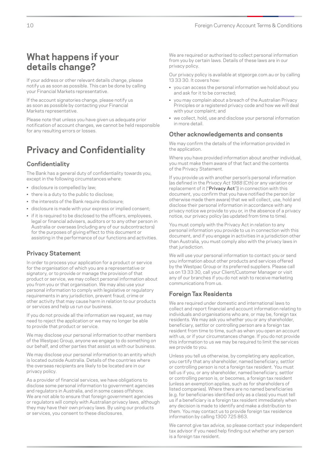## <span id="page-9-0"></span>**What happens if your details change?**

If your address or other relevant details change, please notify us as soon as possible. This can be done by calling your Financial Markets representative.

If the account signatories change, please notify us as soon as possible by contacting your Financial Markets representative.

Please note that unless you have given us adequate prior notification of account changes, we cannot be held responsible for any resulting errors or losses.

# **Privacy and Confidentiality**

#### **Confidentiality**

The Bank has a general duty of confidentiality towards you, except in the following circumstances where:

- disclosure is compelled by law;
- there is a duty to the public to disclose;
- the interests of the Bank require disclosure;
- disclosure is made with your express or implied consent;
- if it is required to be disclosed to the officers, employees, legal or financial advisers, auditors or to any other person in Australia or overseas (including any of our subcontractors) for the purposes of giving effect to this document or assisting in the performance of our functions and activities.

#### **Privacy Statement**

In order to process your application for a product or service for the organisation of which you are a representative or signatory, or to provide or manage the provision of that product or service, we may collect personal information about you from you or that organisation. We may also use your personal information to comply with legislative or regulatory requirements in any jurisdiction, prevent fraud, crime or other activity that may cause harm in relation to our products or services and help us run our business.

If you do not provide all the information we request, we may need to reject the application or we may no longer be able to provide that product or service.

We may disclose your personal information to other members of the Westpac Group, anyone we engage to do something on our behalf, and other parties that assist us with our business.

We may disclose your personal information to an entity which is located outside Australia. Details of the countries where the overseas recipients are likely to be located are in our privacy policy.

As a provider of financial services, we have obligations to disclose some personal information to government agencies and regulators in Australia, and in some cases offshore. We are not able to ensure that foreign government agencies or regulators will comply with Australian privacy laws, although they may have their own privacy laws. By using our products or services, you consent to these disclosures.

We are required or authorised to collect personal information from you by certain laws. Details of these laws are in our privacy policy.

Our privacy policy is available at [stgeorge.com.au](http://stgeorge.com.au) or by calling 13 33 30. It covers how:

- you can access the personal information we hold about you and ask for it to be corrected;
- you may complain about a breach of the Australian Privacy Principles or a registered privacy code and how we will deal with your complaint; and
- we collect, hold, use and disclose your personal information in more detail.

#### **Other acknowledgements and consents**

We may confirm the details of the information provided in the application.

Where you have provided information about another individual, you must make them aware of that fact and the contents of the Privacy Statement.

If you provide us with another person's personal information (as defined in the *Privacy Act 1988* (Cth) or any variation or replacement of it ("**Privacy Act**")) in connection with this document, you confirm that you have notified the person (or otherwise made them aware) that we will collect, use, hold and disclose their personal information in accordance with any privacy notice we provide to you or, in the absence of a privacy notice, our privacy policy (as updated from time to time).

You must comply with the Privacy Act in relation to any personal information you provide to us in connection with this document, and if you engage in activities in a jurisdiction other than Australia, you must comply also with the privacy laws in that jurisdiction.

We will use your personal information to contact you or send you information about other products and services offered by the Westpac Group or its preferred suppliers. Please call us on 13 33 30, call your Client/Customer Manager or visit any of our branches if you do not wish to receive marketing communications from us.

#### **Foreign Tax Residents**

We are required under domestic and international laws to collect and report financial and account information relating to individuals and organisations who are, or may be, foreign tax residents. We may ask you whether you or any shareholder, beneficiary, settlor or controlling person are a foreign tax resident from time to time, such as when you open an account with us, or if your circumstances change. If you do not provide this information to us we may be required to limit the services we provide to you.

Unless you tell us otherwise, by completing any application, you certify that any shareholder, named beneficiary, settlor or controlling person is not a foreign tax resident. You must tell us if you, or any shareholder, named beneficiary, settlor or controlling person is, or becomes, a foreign tax resident (unless an exemption applies, such as for shareholders of listed companies). Where there are no named beneficiaries (e.g. for beneficiaries identified only as a class) you must tell us if a beneficiary is a foreign tax resident immediately when any decision is made to identify and make a distribution to them. You may contact us to provide foreign tax residence information by calling 1300 725 863.

We cannot give tax advice, so please contact your independent tax advisor if you need help finding out whether any person is a foreign tax resident.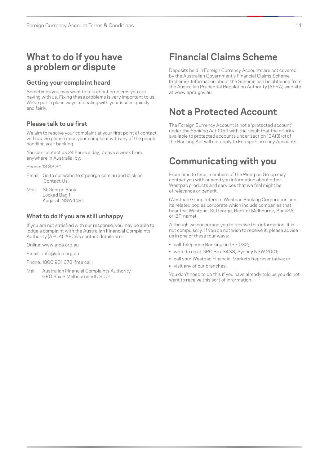### <span id="page-10-0"></span>**What to do if you have a problem or dispute**

#### **Getting your complaint heard**

Sometimes you may want to talk about problems you are having with us. Fixing these problems is very important to us. We've put in place ways of dealing with your issues quickly and fairly.

#### **Please talk to us first**

We aim to resolve your complaint at your first point of contact with us. So please raise your complaint with any of the people handling your banking.

You can contact us 24 hours a day, 7 days a week from anywhere in Australia, by:

Phone: 13 33 30

- Email: Go to our website [stgeorge.com.au](http://stgeorge.com.au) and click on 'Contact Us'.
- Mail: St George Bank Locked Bag 1 Kogarah NSW 1485

#### **What to do if you are still unhappy**

If you are not satisfied with our response, you may be able to lodge a complaint with the Australian Financial Complaints Authority (AFCA). AFCA's contact details are:

Online: www.[afca.org.au](http://www.afca.org.au)

- Email: [info@afca.org.au](mailto:info@afca.org.au)
- Phone: 1800 931 678 (free call)
- Mail: Australian Financial Complaints Authority GPO Box 3 Melbourne VIC 3001

# **Financial Claims Scheme**

Deposits held in Foreign Currency Accounts are not covered by the Australian Government's Financial Claims Scheme (Scheme). Information about the Scheme can be obtained from the Australian Prudential Regulation Authority (APRA) website at w[ww.apra.gov.au](http://www.apra.gov.au).

## **Not a Protected Account**

The Foreign Currency Account is not a 'protected account' under the *Banking Act 1959* with the result that the priority available to protected accounts under section 13A(3) (c) of the Banking Act will not apply to Foreign Currency Accounts.

## **Communicating with you**

From time to time, members of the Westpac Group may contact you with or send you information about other Westpac products and services that we feel might be of relevance or benefit.

(Westpac Group refers to Westpac Banking Corporation and its related bodies corporate which include companies that bear the 'Westpac, St.George, Bank of Melbourne, BankSA' or 'BT' name)

Although we encourage you to receive this information, it is not compulsory. If you do not wish to receive it, please advise us in one of these four ways:

- call Telephone Banking on 132 032;
- write to us at GPO Box 3433, Sydney NSW 2001;
- call your Westpac Financial Markets Representative; or
- visit any of our branches.

You don't need to do this if you have already told us you do not want to receive this sort of information.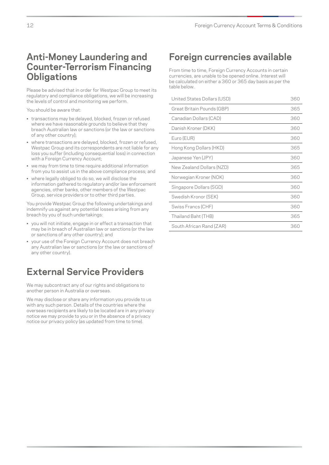### <span id="page-11-0"></span>**Anti-Money Laundering and Counter-Terrorism Financing Obligations**

Please be advised that in order for Westpac Group to meet its regulatory and compliance obligations, we will be increasing the levels of control and monitoring we perform.

You should be aware that:

- transactions may be delayed, blocked, frozen or refused where we have reasonable grounds to believe that they breach Australian law or sanctions (or the law or sanctions of any other country);
- where transactions are delayed, blocked, frozen or refused, Westpac Group and its correspondents are not liable for any loss you suffer (including consequential loss) in connection with a Foreign Currency Account;
- we may from time to time require additional information from you to assist us in the above compliance process; and
- where legally obliged to do so, we will disclose the information gathered to regulatory and/or law enforcement agencies, other banks, other members of the Westpac Group, service providers or to other third parties.

You provide Westpac Group the following undertakings and indemnify us against any potential losses arising from any breach by you of such undertakings:

- you will not initiate, engage in or effect a transaction that may be in breach of Australian law or sanctions (or the law or sanctions of any other country); and
- your use of the Foreign Currency Account does not breach any Australian law or sanctions (or the law or sanctions of any other country).

# **External Service Providers**

We may subcontract any of our rights and obligations to another person in Australia or overseas.

We may disclose or share any information you provide to us with any such person. Details of the countries where the overseas recipients are likely to be located are in any privacy notice we may provide to you or in the absence of a privacy notice our privacy policy (as updated from time to time).

# **Foreign currencies available**

From time to time, Foreign Currency Accounts in certain currencies, are unable to be opened online. Interest will be calculated on either a 360 or 365 day basis as per the table below.

| United States Dollars (USD) | 360 |
|-----------------------------|-----|
| Great Britain Pounds (GBP)  | 365 |
| Canadian Dollars (CAD)      | 360 |
| Danish Kroner (DKK)         | 360 |
| Euro (EUR)                  | 360 |
| Hong Kong Dollars (HKD)     | 365 |
| Japanese Yen (JPY)          | 360 |
| New Zealand Dollars (NZD)   | 365 |
| Norwegian Kroner (NOK)      | 360 |
| Singapore Dollars (SGD)     | 360 |
| Swedish Kronor (SEK)        | 360 |
| Swiss Francs (CHF)          | 360 |
| Thailand Baht (THB)         | 365 |
| South African Rand (ZAR)    | 360 |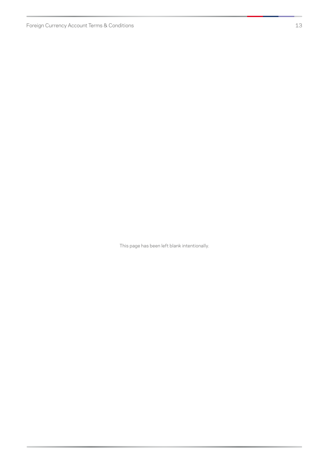Foreign Currency Account Terms & Conditions 13

This page has been left blank intentionally.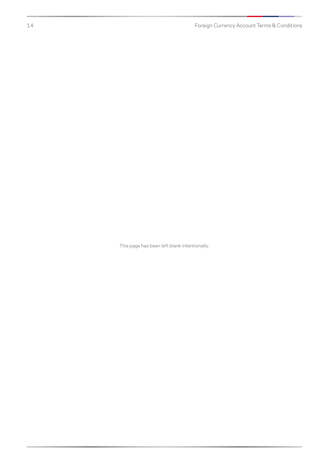This page has been left blank intentionally.